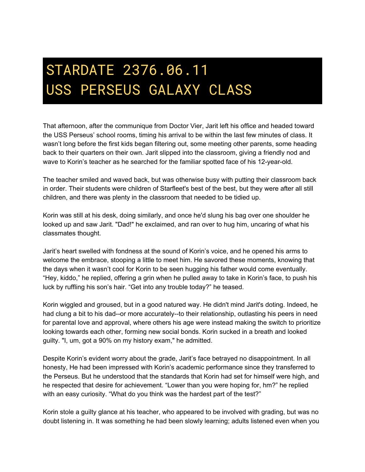## STARDATE 2376.06.11 USS PERSEUS GALAXY CLASS

That afternoon, after the communique from Doctor Vier, Jarit left his office and headed toward the USS Perseus' school rooms, timing his arrival to be within the last few minutes of class. It wasn't long before the first kids began filtering out, some meeting other parents, some heading back to their quarters on their own. Jarit slipped into the classroom, giving a friendly nod and wave to Korin's teacher as he searched for the familiar spotted face of his 12-year-old.

The teacher smiled and waved back, but was otherwise busy with putting their classroom back in order. Their students were children of Starfleet's best of the best, but they were after all still children, and there was plenty in the classroom that needed to be tidied up.

Korin was still at his desk, doing similarly, and once he'd slung his bag over one shoulder he looked up and saw Jarit. "Dad!" he exclaimed, and ran over to hug him, uncaring of what his classmates thought.

Jarit's heart swelled with fondness at the sound of Korin's voice, and he opened his arms to welcome the embrace, stooping a little to meet him. He savored these moments, knowing that the days when it wasn't cool for Korin to be seen hugging his father would come eventually. "Hey, kiddo," he replied, offering a grin when he pulled away to take in Korin's face, to push his luck by ruffling his son's hair. "Get into any trouble today?" he teased.

Korin wiggled and groused, but in a good natured way. He didn't mind Jarit's doting. Indeed, he had clung a bit to his dad--or more accurately--to their relationship, outlasting his peers in need for parental love and approval, where others his age were instead making the switch to prioritize looking towards each other, forming new social bonds. Korin sucked in a breath and looked guilty. "I, um, got a 90% on my history exam," he admitted.

Despite Korin's evident worry about the grade, Jarit's face betrayed no disappointment. In all honesty, He had been impressed with Korin's academic performance since they transferred to the Perseus. But he understood that the standards that Korin had set for himself were high, and he respected that desire for achievement. "Lower than you were hoping for, hm?" he replied with an easy curiosity. "What do you think was the hardest part of the test?"

Korin stole a guilty glance at his teacher, who appeared to be involved with grading, but was no doubt listening in. It was something he had been slowly learning; adults listened even when you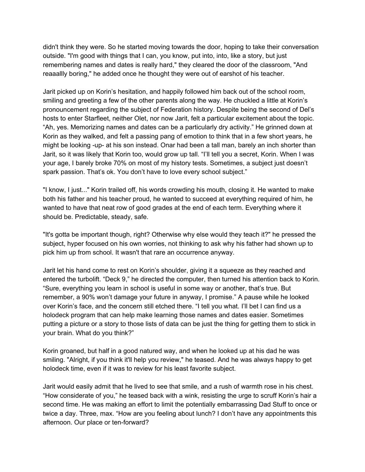didn't think they were. So he started moving towards the door, hoping to take their conversation outside. "I'm good with things that I can, you know, put into, into, like a story, but just remembering names and dates is really hard," they cleared the door of the classroom, "And reaaallly boring," he added once he thought they were out of earshot of his teacher.

Jarit picked up on Korin's hesitation, and happily followed him back out of the school room, smiling and greeting a few of the other parents along the way. He chuckled a little at Korin's pronouncement regarding the subject of Federation history. Despite being the second of Del's hosts to enter Starfleet, neither Olet, nor now Jarit, felt a particular excitement about the topic. "Ah, yes. Memorizing names and dates can be a particularly dry activity." He grinned down at Korin as they walked, and felt a passing pang of emotion to think that in a few short years, he might be looking -up- at his son instead. Onar had been a tall man, barely an inch shorter than Jarit, so it was likely that Korin too, would grow up tall. "I'll tell you a secret, Korin. When I was your age, I barely broke 70% on most of my history tests. Sometimes, a subject just doesn't spark passion. That's ok. You don't have to love every school subject."

"I know, I just..." Korin trailed off, his words crowding his mouth, closing it. He wanted to make both his father and his teacher proud, he wanted to succeed at everything required of him, he wanted to have that neat row of good grades at the end of each term. Everything where it should be. Predictable, steady, safe.

"It's gotta be important though, right? Otherwise why else would they teach it?" he pressed the subject, hyper focused on his own worries, not thinking to ask why his father had shown up to pick him up from school. It wasn't that rare an occurrence anyway.

Jarit let his hand come to rest on Korin's shoulder, giving it a squeeze as they reached and entered the turbolift. "Deck 9," he directed the computer, then turned his attention back to Korin. "Sure, everything you learn in school is useful in some way or another, that's true. But remember, a 90% won't damage your future in anyway, I promise." A pause while he looked over Korin's face, and the concern still etched there. "I tell you what. I'll bet I can find us a holodeck program that can help make learning those names and dates easier. Sometimes putting a picture or a story to those lists of data can be just the thing for getting them to stick in your brain. What do you think?"

Korin groaned, but half in a good natured way, and when he looked up at his dad he was smiling. "Alright, if you think it'll help you review," he teased. And he was always happy to get holodeck time, even if it was to review for his least favorite subject.

Jarit would easily admit that he lived to see that smile, and a rush of warmth rose in his chest. "How considerate of you," he teased back with a wink, resisting the urge to scruff Korin's hair a second time. He was making an effort to limit the potentially embarrassing Dad Stuff to once or twice a day. Three, max. "How are you feeling about lunch? I don't have any appointments this afternoon. Our place or ten-forward?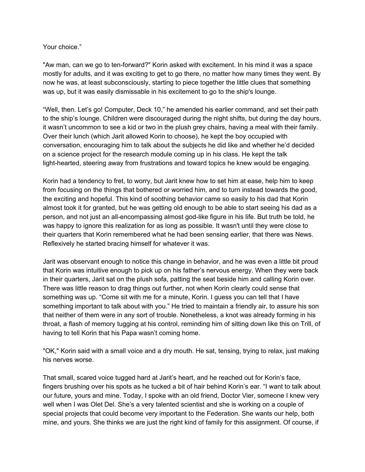## Your choice."

"Aw man, can we go to ten-forward?" Korin asked with excitement. In his mind it was a space mostly for adults, and it was exciting to get to go there, no matter how many times they went. By now he was, at least subconsciously, starting to piece together the little clues that something was up, but it was easily dismissable in his excitement to go to the ship's lounge.

"Well, then. Let's go! Computer, Deck 10," he amended his earlier command, and set their path to the ship's lounge. Children were discouraged during the night shifts, but during the day hours, it wasn't uncommon to see a kid or two in the plush grey chairs, having a meal with their family. Over their lunch (which Jarit allowed Korin to choose), he kept the boy occupied with conversation, encouraging him to talk about the subjects he did like and whether he'd decided on a science project for the research module coming up in his class. He kept the talk light-hearted, steering away from frustrations and toward topics he knew would be engaging.

Korin had a tendency to fret, to worry, but Jarit knew how to set him at ease, help him to keep from focusing on the things that bothered or worried him, and to turn instead towards the good, the exciting and hopeful. This kind of soothing behavior came so easily to his dad that Korin almost took it for granted, but he was getting old enough to be able to start seeing his dad as a person, and not just an all-encompassing almost god-like figure in his life. But truth be told, he was happy to ignore this realization for as long as possible. It wasn't until they were close to their quarters that Korin remembered what he had been sensing earlier, that there was News. Reflexively he started bracing himself for whatever it was.

Jarit was observant enough to notice this change in behavior, and he was even a little bit proud that Korin was intuitive enough to pick up on his father's nervous energy. When they were back in their quarters, Jarit sat on the plush sofa, patting the seat beside him and calling Korin over. There was little reason to drag things out further, not when Korin clearly could sense that something was up. "Come sit with me for a minute, Korin. I guess you can tell that I have something important to talk about with you." He tried to maintain a friendly air, to assure his son that neither of them were in any sort of trouble. Nonetheless, a knot was already forming in his throat, a flash of memory tugging at his control, reminding him of sitting down like this on Trill, of having to tell Korin that his Papa wasn't coming home.

"OK," Korin said with a small voice and a dry mouth. He sat, tensing, trying to relax, just making his nerves worse.

That small, scared voice tugged hard at Jarit's heart, and he reached out for Korin's face, fingers brushing over his spots as he tucked a bit of hair behind Korin's ear. "I want to talk about our future, yours and mine. Today, I spoke with an old friend, Doctor Vier, someone I knew very well when I was Olet Del. She's a very talented scientist and she is working on a couple of special projects that could become very important to the Federation. She wants our help, both mine, and yours. She thinks we are just the right kind of family for this assignment. Of course, if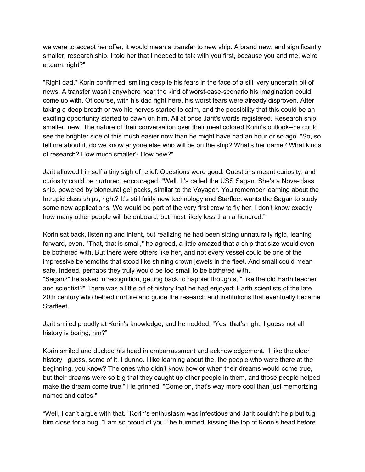we were to accept her offer, it would mean a transfer to new ship. A brand new, and significantly smaller, research ship. I told her that I needed to talk with you first, because you and me, we're a team, right?"

"Right dad," Korin confirmed, smiling despite his fears in the face of a still very uncertain bit of news. A transfer wasn't anywhere near the kind of worst-case-scenario his imagination could come up with. Of course, with his dad right here, his worst fears were already disproven. After taking a deep breath or two his nerves started to calm, and the possibility that this could be an exciting opportunity started to dawn on him. All at once Jarit's words registered. Research ship, smaller, new. The nature of their conversation over their meal colored Korin's outlook--he could see the brighter side of this much easier now than he might have had an hour or so ago. "So, so tell me about it, do we know anyone else who will be on the ship? What's her name? What kinds of research? How much smaller? How new?"

Jarit allowed himself a tiny sigh of relief. Questions were good. Questions meant curiosity, and curiosity could be nurtured, encouraged. "Well. It's called the USS Sagan. She's a Nova-class ship, powered by bioneural gel packs, similar to the Voyager. You remember learning about the Intrepid class ships, right? It's still fairly new technology and Starfleet wants the Sagan to study some new applications. We would be part of the very first crew to fly her. I don't know exactly how many other people will be onboard, but most likely less than a hundred."

Korin sat back, listening and intent, but realizing he had been sitting unnaturally rigid, leaning forward, even. "That, that is small," he agreed, a little amazed that a ship that size would even be bothered with. But there were others like her, and not every vessel could be one of the impressive behemoths that stood like shining crown jewels in the fleet. And small could mean safe. Indeed, perhaps they truly would be too small to be bothered with. "Sagan?" he asked in recognition, getting back to happier thoughts, "Like the old Earth teacher and scientist?" There was a little bit of history that he had enjoyed; Earth scientists of the late 20th century who helped nurture and guide the research and institutions that eventually became

Jarit smiled proudly at Korin's knowledge, and he nodded. "Yes, that's right. I guess not all history is boring, hm?"

Starfleet.

Korin smiled and ducked his head in embarrassment and acknowledgement. "I like the older history I guess, some of it, I dunno. I like learning about the, the people who were there at the beginning, you know? The ones who didn't know how or when their dreams would come true, but their dreams were so big that they caught up other people in them, and those people helped make the dream come true." He grinned, "Come on, that's way more cool than just memorizing names and dates."

"Well, I can't argue with that." Korin's enthusiasm was infectious and Jarit couldn't help but tug him close for a hug. "I am so proud of you," he hummed, kissing the top of Korin's head before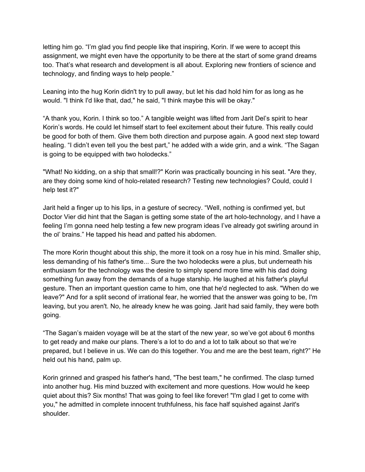letting him go. "I'm glad you find people like that inspiring, Korin. If we were to accept this assignment, we might even have the opportunity to be there at the start of some grand dreams too. That's what research and development is all about. Exploring new frontiers of science and technology, and finding ways to help people."

Leaning into the hug Korin didn't try to pull away, but let his dad hold him for as long as he would. "I think I'd like that, dad," he said, "I think maybe this will be okay."

"A thank you, Korin. I think so too." A tangible weight was lifted from Jarit Del's spirit to hear Korin's words. He could let himself start to feel excitement about their future. This really could be good for both of them. Give them both direction and purpose again. A good next step toward healing. "I didn't even tell you the best part," he added with a wide grin, and a wink. "The Sagan is going to be equipped with two holodecks."

"What! No kidding, on a ship that small!?" Korin was practically bouncing in his seat. "Are they, are they doing some kind of holo-related research? Testing new technologies? Could, could I help test it?"

Jarit held a finger up to his lips, in a gesture of secrecy. "Well, nothing is confirmed yet, but Doctor Vier did hint that the Sagan is getting some state of the art holo-technology, and I have a feeling I'm gonna need help testing a few new program ideas I've already got swirling around in the ol' brains." He tapped his head and patted his abdomen.

The more Korin thought about this ship, the more it took on a rosy hue in his mind. Smaller ship, less demanding of his father's time... Sure the two holodecks were a plus, but underneath his enthusiasm for the technology was the desire to simply spend more time with his dad doing something fun away from the demands of a huge starship. He laughed at his father's playful gesture. Then an important question came to him, one that he'd neglected to ask. "When do we leave?" And for a split second of irrational fear, he worried that the answer was going to be, I'm leaving, but you aren't. No, he already knew he was going. Jarit had said family, they were both going.

"The Sagan's maiden voyage will be at the start of the new year, so we've got about 6 months to get ready and make our plans. There's a lot to do and a lot to talk about so that we're prepared, but I believe in us. We can do this together. You and me are the best team, right?" He held out his hand, palm up.

Korin grinned and grasped his father's hand, "The best team," he confirmed. The clasp turned into another hug. His mind buzzed with excitement and more questions. How would he keep quiet about this? Six months! That was going to feel like forever! "I'm glad I get to come with you," he admitted in complete innocent truthfulness, his face half squished against Jarit's shoulder.